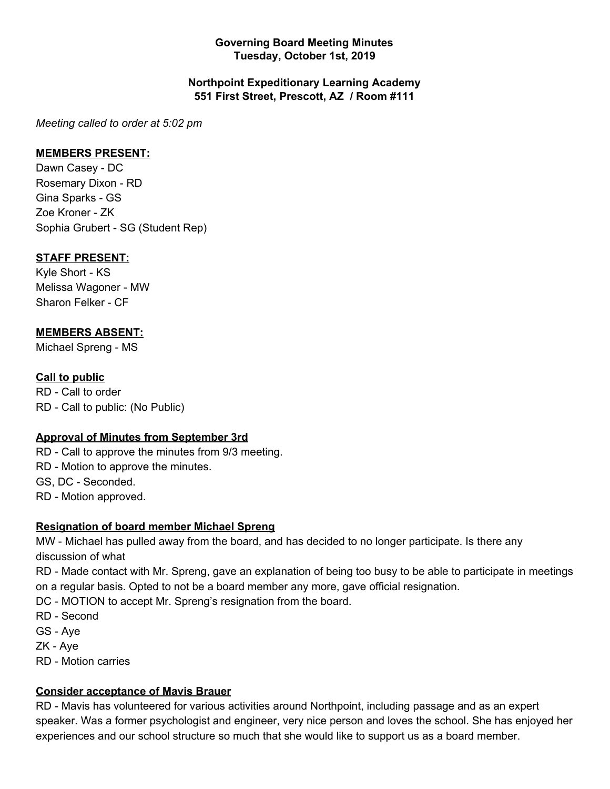#### **Governing Board Meeting Minutes Tuesday, October 1st, 2019**

#### **Northpoint Expeditionary Learning Academy 551 First Street, Prescott, AZ / Room #111**

*Meeting called to order at 5:02 pm*

### **MEMBERS PRESENT:**

Dawn Casey - DC Rosemary Dixon - RD Gina Sparks - GS Zoe Kroner - ZK Sophia Grubert - SG (Student Rep)

## **STAFF PRESENT:**

Kyle Short - KS Melissa Wagoner - MW Sharon Felker - CF

# **MEMBERS ABSENT:**

Michael Spreng - MS

## **Call to public**

RD - Call to order RD - Call to public: (No Public)

### **Approval of Minutes from September 3rd**

RD - Call to approve the minutes from 9/3 meeting. RD - Motion to approve the minutes. GS, DC - Seconded. RD - Motion approved.

### **Resignation of board member Michael Spreng**

MW - Michael has pulled away from the board, and has decided to no longer participate. Is there any discussion of what

RD - Made contact with Mr. Spreng, gave an explanation of being too busy to be able to participate in meetings on a regular basis. Opted to not be a board member any more, gave official resignation.

DC - MOTION to accept Mr. Spreng's resignation from the board.

RD - Second

GS - Aye

ZK - Aye

RD - Motion carries

### **Consider acceptance of Mavis Brauer**

RD - Mavis has volunteered for various activities around Northpoint, including passage and as an expert speaker. Was a former psychologist and engineer, very nice person and loves the school. She has enjoyed her experiences and our school structure so much that she would like to support us as a board member.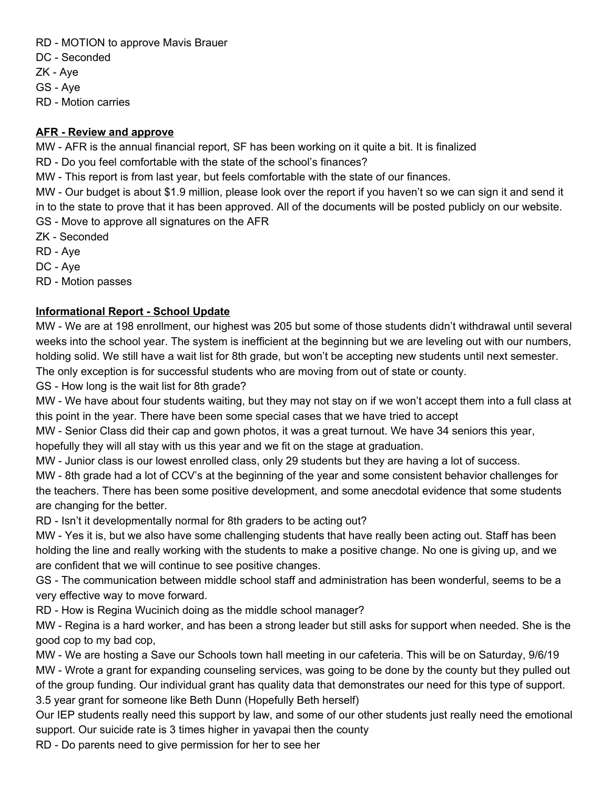RD - MOTION to approve Mavis Brauer

DC - Seconded

ZK - Aye

GS - Aye

RD - Motion carries

### **AFR - Review and approve**

MW - AFR is the annual financial report, SF has been working on it quite a bit. It is finalized

RD - Do you feel comfortable with the state of the school's finances?

MW - This report is from last year, but feels comfortable with the state of our finances.

MW - Our budget is about \$1.9 million, please look over the report if you haven't so we can sign it and send it in to the state to prove that it has been approved. All of the documents will be posted publicly on our website.

GS - Move to approve all signatures on the AFR

ZK - Seconded

RD - Aye

DC - Aye

RD - Motion passes

# **Informational Report - School Update**

MW - We are at 198 enrollment, our highest was 205 but some of those students didn't withdrawal until several weeks into the school year. The system is inefficient at the beginning but we are leveling out with our numbers, holding solid. We still have a wait list for 8th grade, but won't be accepting new students until next semester.

The only exception is for successful students who are moving from out of state or county.

GS - How long is the wait list for 8th grade?

MW - We have about four students waiting, but they may not stay on if we won't accept them into a full class at this point in the year. There have been some special cases that we have tried to accept

MW - Senior Class did their cap and gown photos, it was a great turnout. We have 34 seniors this year,

hopefully they will all stay with us this year and we fit on the stage at graduation.

MW - Junior class is our lowest enrolled class, only 29 students but they are having a lot of success.

MW - 8th grade had a lot of CCV's at the beginning of the year and some consistent behavior challenges for the teachers. There has been some positive development, and some anecdotal evidence that some students are changing for the better.

RD - Isn't it developmentally normal for 8th graders to be acting out?

MW - Yes it is, but we also have some challenging students that have really been acting out. Staff has been holding the line and really working with the students to make a positive change. No one is giving up, and we are confident that we will continue to see positive changes.

GS - The communication between middle school staff and administration has been wonderful, seems to be a very effective way to move forward.

RD - How is Regina Wucinich doing as the middle school manager?

MW - Regina is a hard worker, and has been a strong leader but still asks for support when needed. She is the good cop to my bad cop,

MW - We are hosting a Save our Schools town hall meeting in our cafeteria. This will be on Saturday, 9/6/19 MW - Wrote a grant for expanding counseling services, was going to be done by the county but they pulled out of the group funding. Our individual grant has quality data that demonstrates our need for this type of support. 3.5 year grant for someone like Beth Dunn (Hopefully Beth herself)

Our IEP students really need this support by law, and some of our other students just really need the emotional support. Our suicide rate is 3 times higher in yavapai then the county

RD - Do parents need to give permission for her to see her